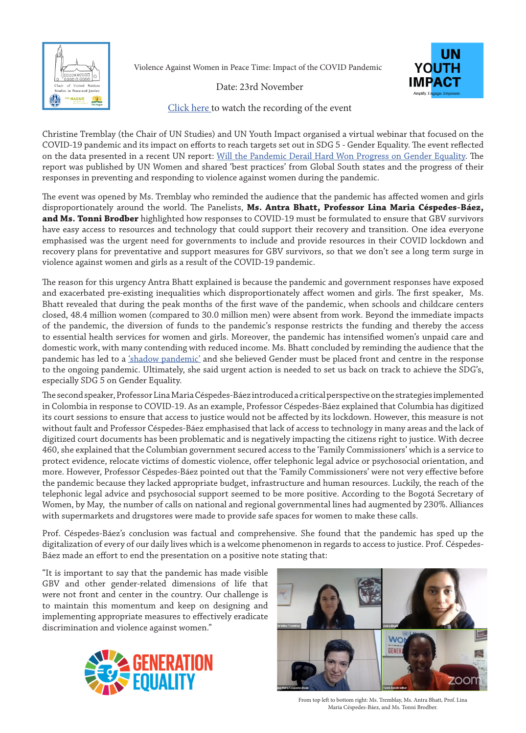

Violence Against Women in Peace Time: Impact of the COVID Pandemic



Date: 23rd November

[Click here t](https://youtu.be/Qcm3rKvthDU)o watch the recording of the event

Christine Tremblay (the Chair of UN Studies) and UN Youth Impact organised a virtual webinar that focused on the COVID-19 pandemic and its impact on efforts to reach targets set out in SDG 5 - Gender Equality. The event reflected on the data presented in a recent UN report: [Will the Pandemic Derail Hard Won Progress on Gender Equality.](https://www.unwomen.org/en/digital-library/publications/2020/07/spotlight-on-gender-covid-19-and-the-sdgs) The report was published by UN Women and shared 'best practices' from Global South states and the progress of their responses in preventing and responding to violence against women during the pandemic.

The event was opened by Ms. Tremblay who reminded the audience that the pandemic has affected women and girls disproportionately around the world. The Panelists, **Ms. Antra Bhatt, Professor Lina Maria Céspedes-Báez, and Ms. Tonni Brodber** highlighted how responses to COVID-19 must be formulated to ensure that GBV survivors have easy access to resources and technology that could support their recovery and transition. One idea everyone emphasised was the urgent need for governments to include and provide resources in their COVID lockdown and recovery plans for preventative and support measures for GBV survivors, so that we don't see a long term surge in violence against women and girls as a result of the COVID-19 pandemic.

The reason for this urgency Antra Bhatt explained is because the pandemic and government responses have exposed and exacerbated pre-existing inequalities which disproportionately affect women and girls. The first speaker, Ms. Bhatt revealed that during the peak months of the first wave of the pandemic, when schools and childcare centers closed, 48.4 million women (compared to 30.0 million men) were absent from work. Beyond the immediate impacts of the pandemic, the diversion of funds to the pandemic's response restricts the funding and thereby the access to essential health services for women and girls. Moreover, the pandemic has intensified women's unpaid care and domestic work, with many contending with reduced income. Ms. Bhatt concluded by reminding the audience that the pandemic has led to a ['shadow pandemic'](https://www.unwomen.org/en/news/stories/2020/4/statement-ed-phumzile-violence-against-women-during-pandemic) and she believed Gender must be placed front and centre in the response to the ongoing pandemic. Ultimately, she said urgent action is needed to set us back on track to achieve the SDG's, especially SDG 5 on Gender Equality.

The second speaker, Professor Lina Maria Céspedes-Báez introduced a critical perspective on the strategies implemented in Colombia in response to COVID-19. As an example, Professor Céspedes-Báez explained that Columbia has digitized its court sessions to ensure that access to justice would not be affected by its lockdown. However, this measure is not without fault and Professor Céspedes-Báez emphasised that lack of access to technology in many areas and the lack of digitized court documents has been problematic and is negatively impacting the citizens right to justice. With decree 460, she explained that the Columbian government secured access to the 'Family Commissioners' which is a service to protect evidence, relocate victims of domestic violence, offer telephonic legal advice or psychosocial orientation, and more. However, Professor Céspedes-Báez pointed out that the 'Family Commissioners' were not very effective before the pandemic because they lacked appropriate budget, infrastructure and human resources. Luckily, the reach of the telephonic legal advice and psychosocial support seemed to be more positive. According to the Bogotá Secretary of Women, by May, the number of calls on national and regional governmental lines had augmented by 230%. Alliances with supermarkets and drugstores were made to provide safe spaces for women to make these calls.

Prof. Céspedes-Báez's conclusion was factual and comprehensive. She found that the pandemic has sped up the digitalization of every of our daily lives which is a welcome phenomenon in regards to access to justice. Prof. Céspedes-Báez made an effort to end the presentation on a positive note stating that:

"It is important to say that the pandemic has made visible GBV and other gender-related dimensions of life that were not front and center in the country. Our challenge is to maintain this momentum and keep on designing and implementing appropriate measures to effectively eradicate discrimination and violence against women."





From top left to bottom right: Ms. Tremblay, Ms. Antra Bhatt, Prof. Lina Maria Céspedes-Báez, and Ms. Tonni Brodber.